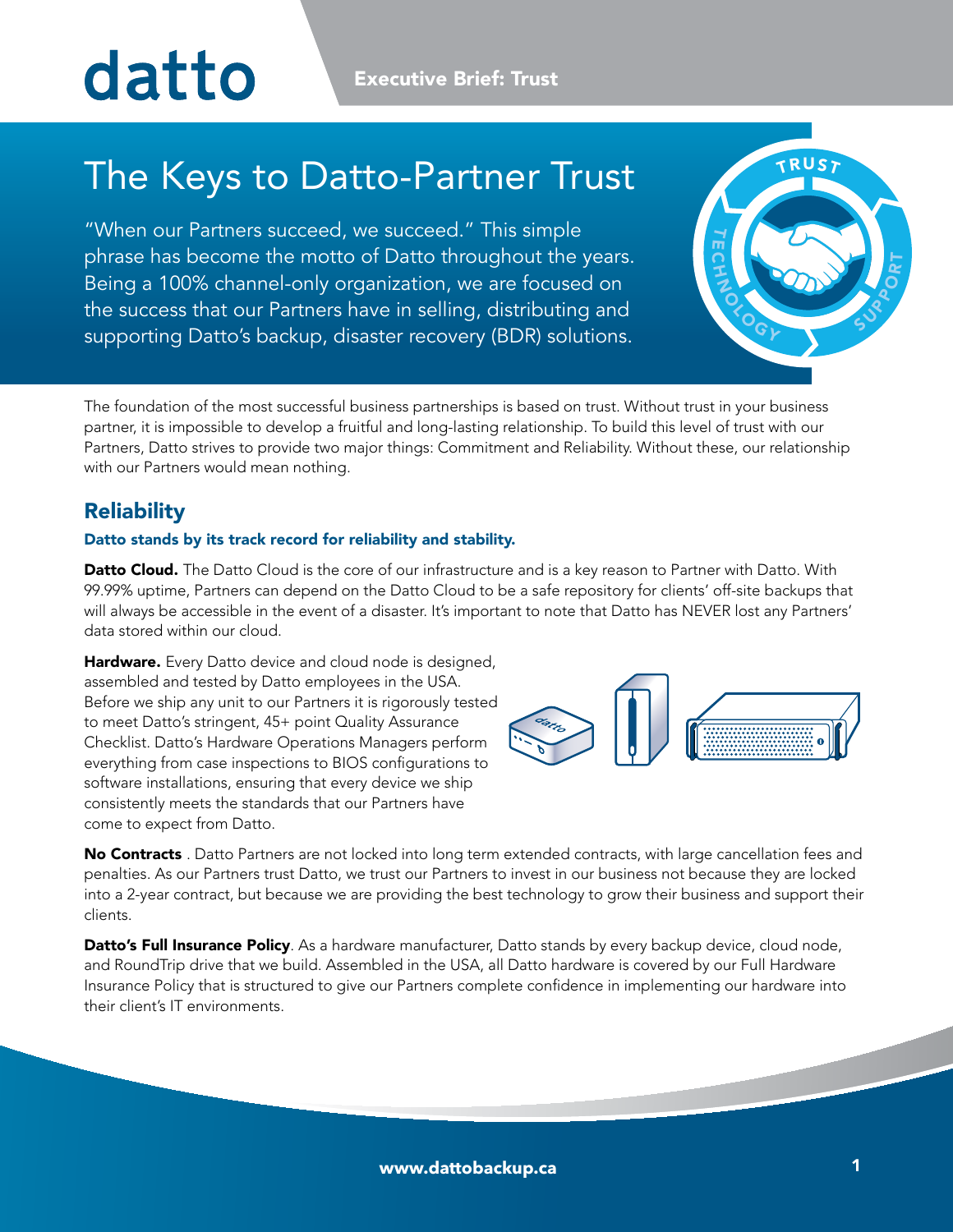# datto

**Executive Brief: Trust** 

## The Keys to Datto-Partner Trust

"When our Partners succeed, we succeed." This simple phrase has become the motto of Datto throughout the years. Being a 100% channel-only organization, we are focused on the success that our Partners have in selling, distributing and supporting Datto's backup, disaster recovery (BDR) solutions.



The foundation of the most successful business partnerships is based on trust. Without trust in your business partner, it is impossible to develop a fruitful and long-lasting relationship. To build this level of trust with our Partners, Datto strives to provide two major things: Commitment and Reliability. Without these, our relationship with our Partners would mean nothing.

### **Reliability**

#### Datto stands by its track record for reliability and stability.

Datto Cloud. The Datto Cloud is the core of our infrastructure and is a key reason to Partner with Datto. With 99.99% uptime, Partners can depend on the Datto Cloud to be a safe repository for clients' off-site backups that will always be accessible in the event of a disaster. It's important to note that Datto has NEVER lost any Partners' data stored within our cloud.

Hardware. Every Datto device and cloud node is designed, assembled and tested by Datto employees in the USA. Before we ship any unit to our Partners it is rigorously tested to meet Datto's stringent, 45+ point Quality Assurance Checklist. Datto's Hardware Operations Managers perform everything from case inspections to BIOS configurations to software installations, ensuring that every device we ship consistently meets the standards that our Partners have come to expect from Datto.



No Contracts . Datto Partners are not locked into long term extended contracts, with large cancellation fees and penalties. As our Partners trust Datto, we trust our Partners to invest in our business not because they are locked into a 2-year contract, but because we are providing the best technology to grow their business and support their clients.

Datto's Full Insurance Policy. As a hardware manufacturer, Datto stands by every backup device, cloud node, and RoundTrip drive that we build. Assembled in the USA, all Datto hardware is covered by our Full Hardware Insurance Policy that is structured to give our Partners complete confidence in implementing our hardware into their client's IT environments.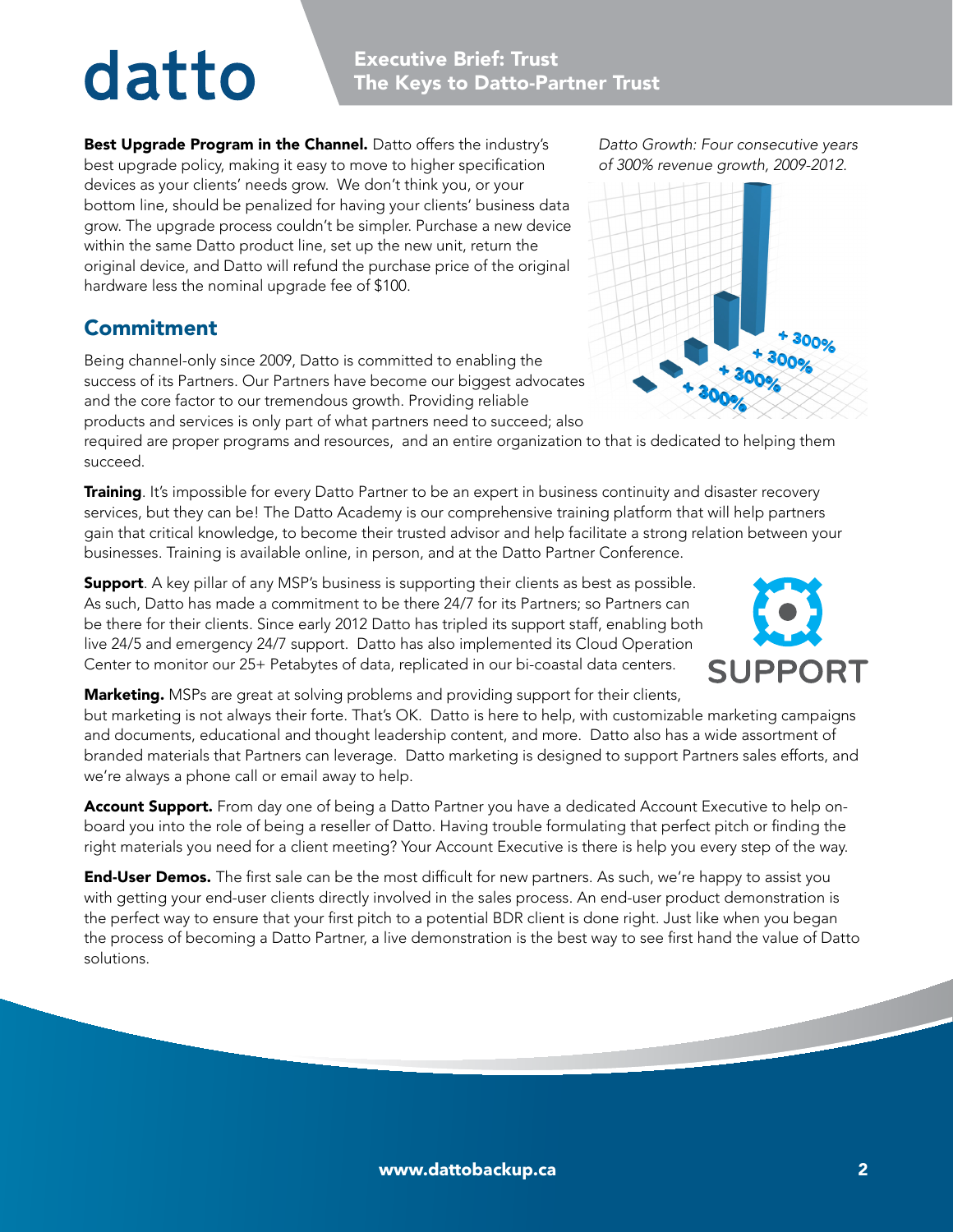# datto

Best Upgrade Program in the Channel. Datto offers the industry's best upgrade policy, making it easy to move to higher specification devices as your clients' needs grow. We don't think you, or your bottom line, should be penalized for having your clients' business data grow. The upgrade process couldn't be simpler. Purchase a new device within the same Datto product line, set up the new unit, return the original device, and Datto will refund the purchase price of the original hardware less the nominal upgrade fee of \$100.

### Commitment

Being channel-only since 2009, Datto is committed to enabling the success of its Partners. Our Partners have become our biggest advocates and the core factor to our tremendous growth. Providing reliable products and services is only part of what partners need to succeed; also

required are proper programs and resources, and an entire organization to that is dedicated to helping them succeed.

**Training**. It's impossible for every Datto Partner to be an expert in business continuity and disaster recovery services, but they can be! The Datto Academy is our comprehensive training platform that will help partners gain that critical knowledge, to become their trusted advisor and help facilitate a strong relation between your businesses. Training is available online, in person, and at the Datto Partner Conference.

**Support.** A key pillar of any MSP's business is supporting their clients as best as possible. As such, Datto has made a commitment to be there 24/7 for its Partners; so Partners can be there for their clients. Since early 2012 Datto has tripled its support staff, enabling both live 24/5 and emergency 24/7 support. Datto has also implemented its Cloud Operation Center to monitor our 25+ Petabytes of data, replicated in our bi-coastal data centers.

**Marketing.** MSPs are great at solving problems and providing support for their clients,

but marketing is not always their forte. That's OK. Datto is here to help, with customizable marketing campaigns and documents, educational and thought leadership content, and more. Datto also has a wide assortment of branded materials that Partners can leverage. Datto marketing is designed to support Partners sales efforts, and we're always a phone call or email away to help.

Account Support. From day one of being a Datto Partner you have a dedicated Account Executive to help onboard you into the role of being a reseller of Datto. Having trouble formulating that perfect pitch or finding the right materials you need for a client meeting? Your Account Executive is there is help you every step of the way.

**End-User Demos.** The first sale can be the most difficult for new partners. As such, we're happy to assist you with getting your end-user clients directly involved in the sales process. An end-user product demonstration is the perfect way to ensure that your first pitch to a potential BDR client is done right. Just like when you began the process of becoming a Datto Partner, a live demonstration is the best way to see first hand the value of Datto solutions.